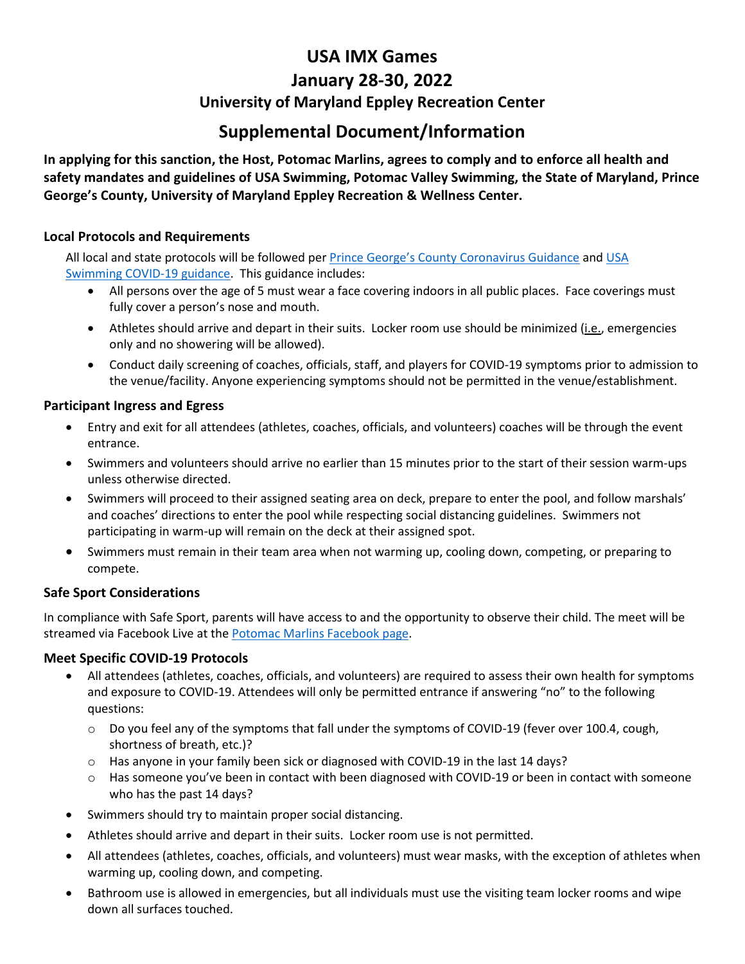# **USA IMX Games January 28-30, 2022 University of Maryland Eppley Recreation Center**

## **Supplemental Document/Information**

**In applying for this sanction, the Host, Potomac Marlins, agrees to comply and to enforce all health and safety mandates and guidelines of USA Swimming, Potomac Valley Swimming, the State of Maryland, Prince George's County, University of Maryland Eppley Recreation & Wellness Center.**

### **Local Protocols and Requirements**

All local and state protocols will be followed per [Prince George's County Coronavirus Guidance](https://www.princegeorgescountymd.gov/ArchiveCenter/ViewFile/Item/3577) and [USA](https://www.usaswimming.org/docs/default-source/coronavirus-resources---updated/2020-return-to-competitionv3.pdf)  [Swimming COVID-19 guidance.](https://www.usaswimming.org/docs/default-source/coronavirus-resources---updated/2020-return-to-competitionv3.pdf) This guidance includes:

- All persons over the age of 5 must wear a face covering indoors in all public places. Face coverings must fully cover a person's nose and mouth.
- Athletes should arrive and depart in their suits. Locker room use should be minimized (*i.e.*, emergencies only and no showering will be allowed).
- Conduct daily screening of coaches, officials, staff, and players for COVID-19 symptoms prior to admission to the venue/facility. Anyone experiencing symptoms should not be permitted in the venue/establishment.

#### **Participant Ingress and Egress**

- Entry and exit for all attendees (athletes, coaches, officials, and volunteers) coaches will be through the event entrance.
- Swimmers and volunteers should arrive no earlier than 15 minutes prior to the start of their session warm-ups unless otherwise directed.
- Swimmers will proceed to their assigned seating area on deck, prepare to enter the pool, and follow marshals' and coaches' directions to enter the pool while respecting social distancing guidelines. Swimmers not participating in warm-up will remain on the deck at their assigned spot.
- Swimmers must remain in their team area when not warming up, cooling down, competing, or preparing to compete.

## **Safe Sport Considerations**

In compliance with Safe Sport, parents will have access to and the opportunity to observe their child. The meet will be streamed via Facebook Live at th[e Potomac Marlins Facebook page.](https://www.facebook.com/Potomac-Marlins-Swim-Team-116514645119255)

#### **Meet Specific COVID-19 Protocols**

- All attendees (athletes, coaches, officials, and volunteers) are required to assess their own health for symptoms and exposure to COVID-19. Attendees will only be permitted entrance if answering "no" to the following questions:
	- $\circ$  Do you feel any of the symptoms that fall under the symptoms of COVID-19 (fever over 100.4, cough, shortness of breath, etc.)?
	- o Has anyone in your family been sick or diagnosed with COVID-19 in the last 14 days?
	- $\circ$  Has someone you've been in contact with been diagnosed with COVID-19 or been in contact with someone who has the past 14 days?
- Swimmers should try to maintain proper social distancing.
- Athletes should arrive and depart in their suits. Locker room use is not permitted.
- All attendees (athletes, coaches, officials, and volunteers) must wear masks, with the exception of athletes when warming up, cooling down, and competing.
- Bathroom use is allowed in emergencies, but all individuals must use the visiting team locker rooms and wipe down all surfaces touched.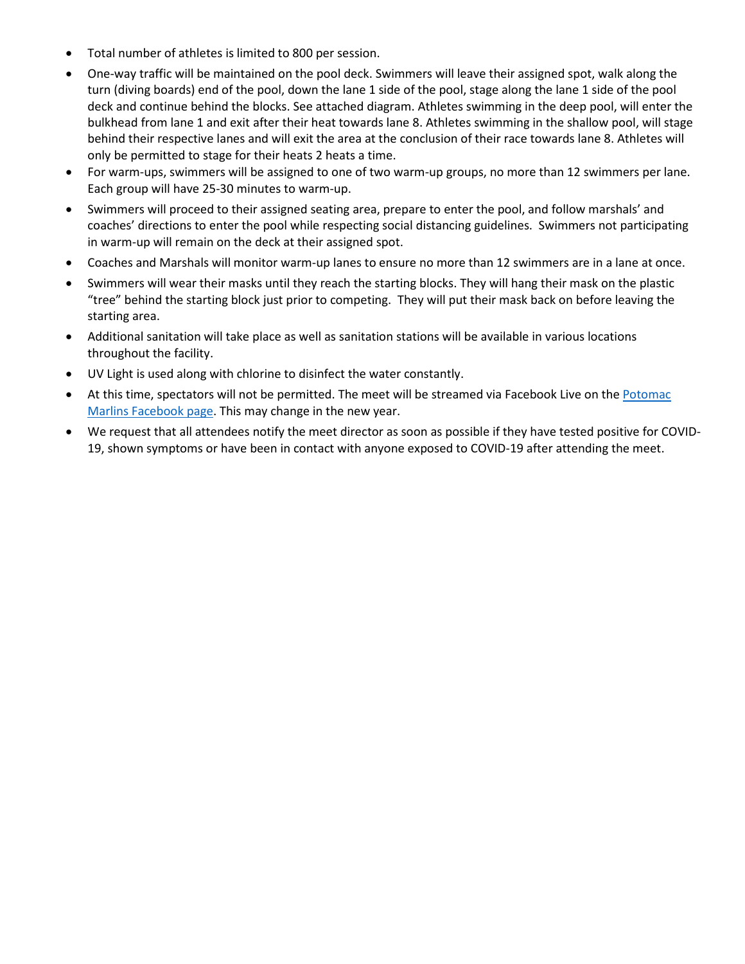- Total number of athletes is limited to 800 per session.
- One-way traffic will be maintained on the pool deck. Swimmers will leave their assigned spot, walk along the turn (diving boards) end of the pool, down the lane 1 side of the pool, stage along the lane 1 side of the pool deck and continue behind the blocks. See attached diagram. Athletes swimming in the deep pool, will enter the bulkhead from lane 1 and exit after their heat towards lane 8. Athletes swimming in the shallow pool, will stage behind their respective lanes and will exit the area at the conclusion of their race towards lane 8. Athletes will only be permitted to stage for their heats 2 heats a time.
- For warm-ups, swimmers will be assigned to one of two warm-up groups, no more than 12 swimmers per lane. Each group will have 25-30 minutes to warm-up.
- Swimmers will proceed to their assigned seating area, prepare to enter the pool, and follow marshals' and coaches' directions to enter the pool while respecting social distancing guidelines. Swimmers not participating in warm-up will remain on the deck at their assigned spot.
- Coaches and Marshals will monitor warm-up lanes to ensure no more than 12 swimmers are in a lane at once.
- Swimmers will wear their masks until they reach the starting blocks. They will hang their mask on the plastic "tree" behind the starting block just prior to competing. They will put their mask back on before leaving the starting area.
- Additional sanitation will take place as well as sanitation stations will be available in various locations throughout the facility.
- UV Light is used along with chlorine to disinfect the water constantly.
- At this time, spectators will not be permitted. The meet will be streamed via Facebook Live on the Potomac [Marlins Facebook page.](https://www.facebook.com/Potomac-Marlins-Swim-Team-116514645119255/) This may change in the new year.
- We request that all attendees notify the meet director as soon as possible if they have tested positive for COVID-19, shown symptoms or have been in contact with anyone exposed to COVID-19 after attending the meet.